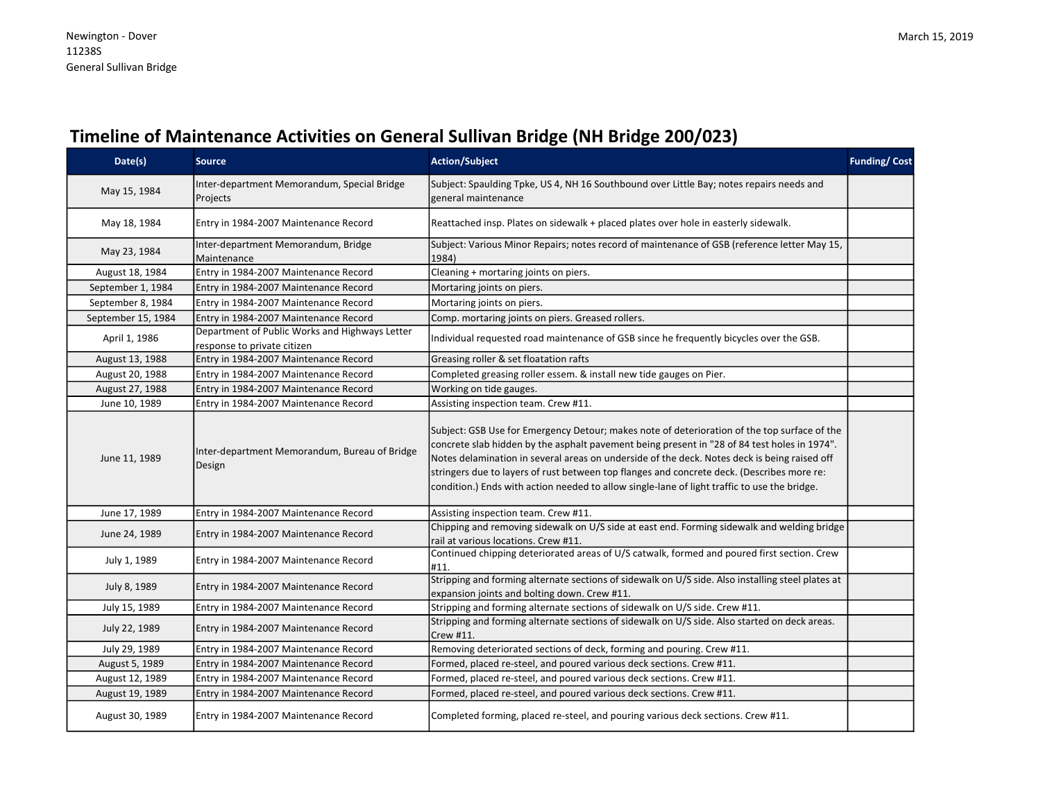| Date(s)            | <b>Source</b>                                                                 | <b>Action/Subject</b>                                                                                                                                                                                                                                                                                                                                                                                                                                                                      | <b>Funding/Cost</b> |
|--------------------|-------------------------------------------------------------------------------|--------------------------------------------------------------------------------------------------------------------------------------------------------------------------------------------------------------------------------------------------------------------------------------------------------------------------------------------------------------------------------------------------------------------------------------------------------------------------------------------|---------------------|
| May 15, 1984       | Inter-department Memorandum, Special Bridge<br>Projects                       | Subject: Spaulding Tpke, US 4, NH 16 Southbound over Little Bay; notes repairs needs and<br>general maintenance                                                                                                                                                                                                                                                                                                                                                                            |                     |
| May 18, 1984       | Entry in 1984-2007 Maintenance Record                                         | Reattached insp. Plates on sidewalk + placed plates over hole in easterly sidewalk.                                                                                                                                                                                                                                                                                                                                                                                                        |                     |
| May 23, 1984       | Inter-department Memorandum, Bridge<br>Maintenance                            | Subject: Various Minor Repairs; notes record of maintenance of GSB (reference letter May 15,<br>1984)                                                                                                                                                                                                                                                                                                                                                                                      |                     |
| August 18, 1984    | Entry in 1984-2007 Maintenance Record                                         | Cleaning + mortaring joints on piers.                                                                                                                                                                                                                                                                                                                                                                                                                                                      |                     |
| September 1, 1984  | Entry in 1984-2007 Maintenance Record                                         | Mortaring joints on piers.                                                                                                                                                                                                                                                                                                                                                                                                                                                                 |                     |
| September 8, 1984  | Entry in 1984-2007 Maintenance Record                                         | Mortaring joints on piers.                                                                                                                                                                                                                                                                                                                                                                                                                                                                 |                     |
| September 15, 1984 | Entry in 1984-2007 Maintenance Record                                         | Comp. mortaring joints on piers. Greased rollers.                                                                                                                                                                                                                                                                                                                                                                                                                                          |                     |
| April 1, 1986      | Department of Public Works and Highways Letter<br>response to private citizen | Individual requested road maintenance of GSB since he frequently bicycles over the GSB.                                                                                                                                                                                                                                                                                                                                                                                                    |                     |
| August 13, 1988    | Entry in 1984-2007 Maintenance Record                                         | Greasing roller & set floatation rafts                                                                                                                                                                                                                                                                                                                                                                                                                                                     |                     |
| August 20, 1988    | Entry in 1984-2007 Maintenance Record                                         | Completed greasing roller essem. & install new tide gauges on Pier.                                                                                                                                                                                                                                                                                                                                                                                                                        |                     |
| August 27, 1988    | Entry in 1984-2007 Maintenance Record                                         | Working on tide gauges.                                                                                                                                                                                                                                                                                                                                                                                                                                                                    |                     |
| June 10, 1989      | Entry in 1984-2007 Maintenance Record                                         | Assisting inspection team. Crew #11.                                                                                                                                                                                                                                                                                                                                                                                                                                                       |                     |
| June 11, 1989      | Inter-department Memorandum, Bureau of Bridge<br>Design                       | Subject: GSB Use for Emergency Detour; makes note of deterioration of the top surface of the<br>concrete slab hidden by the asphalt pavement being present in "28 of 84 test holes in 1974".<br>Notes delamination in several areas on underside of the deck. Notes deck is being raised off<br>stringers due to layers of rust between top flanges and concrete deck. (Describes more re:<br>condition.) Ends with action needed to allow single-lane of light traffic to use the bridge. |                     |
| June 17, 1989      | Entry in 1984-2007 Maintenance Record                                         | Assisting inspection team. Crew #11.                                                                                                                                                                                                                                                                                                                                                                                                                                                       |                     |
| June 24, 1989      | Entry in 1984-2007 Maintenance Record                                         | Chipping and removing sidewalk on U/S side at east end. Forming sidewalk and welding bridge<br>rail at various locations. Crew #11.                                                                                                                                                                                                                                                                                                                                                        |                     |
| July 1, 1989       | Entry in 1984-2007 Maintenance Record                                         | Continued chipping deteriorated areas of U/S catwalk, formed and poured first section. Crew<br>#11.                                                                                                                                                                                                                                                                                                                                                                                        |                     |
| July 8, 1989       | Entry in 1984-2007 Maintenance Record                                         | Stripping and forming alternate sections of sidewalk on U/S side. Also installing steel plates at<br>expansion joints and bolting down. Crew #11.                                                                                                                                                                                                                                                                                                                                          |                     |
| July 15, 1989      | Entry in 1984-2007 Maintenance Record                                         | Stripping and forming alternate sections of sidewalk on U/S side. Crew #11.                                                                                                                                                                                                                                                                                                                                                                                                                |                     |
| July 22, 1989      | Entry in 1984-2007 Maintenance Record                                         | Stripping and forming alternate sections of sidewalk on U/S side. Also started on deck areas.<br>Crew #11.                                                                                                                                                                                                                                                                                                                                                                                 |                     |
| July 29, 1989      | Entry in 1984-2007 Maintenance Record                                         | Removing deteriorated sections of deck, forming and pouring. Crew #11.                                                                                                                                                                                                                                                                                                                                                                                                                     |                     |
| August 5, 1989     | Entry in 1984-2007 Maintenance Record                                         | Formed, placed re-steel, and poured various deck sections. Crew #11.                                                                                                                                                                                                                                                                                                                                                                                                                       |                     |
| August 12, 1989    | Entry in 1984-2007 Maintenance Record                                         | Formed, placed re-steel, and poured various deck sections. Crew #11.                                                                                                                                                                                                                                                                                                                                                                                                                       |                     |
| August 19, 1989    | Entry in 1984-2007 Maintenance Record                                         | Formed, placed re-steel, and poured various deck sections. Crew #11.                                                                                                                                                                                                                                                                                                                                                                                                                       |                     |
| August 30, 1989    | Entry in 1984-2007 Maintenance Record                                         | Completed forming, placed re-steel, and pouring various deck sections. Crew #11.                                                                                                                                                                                                                                                                                                                                                                                                           |                     |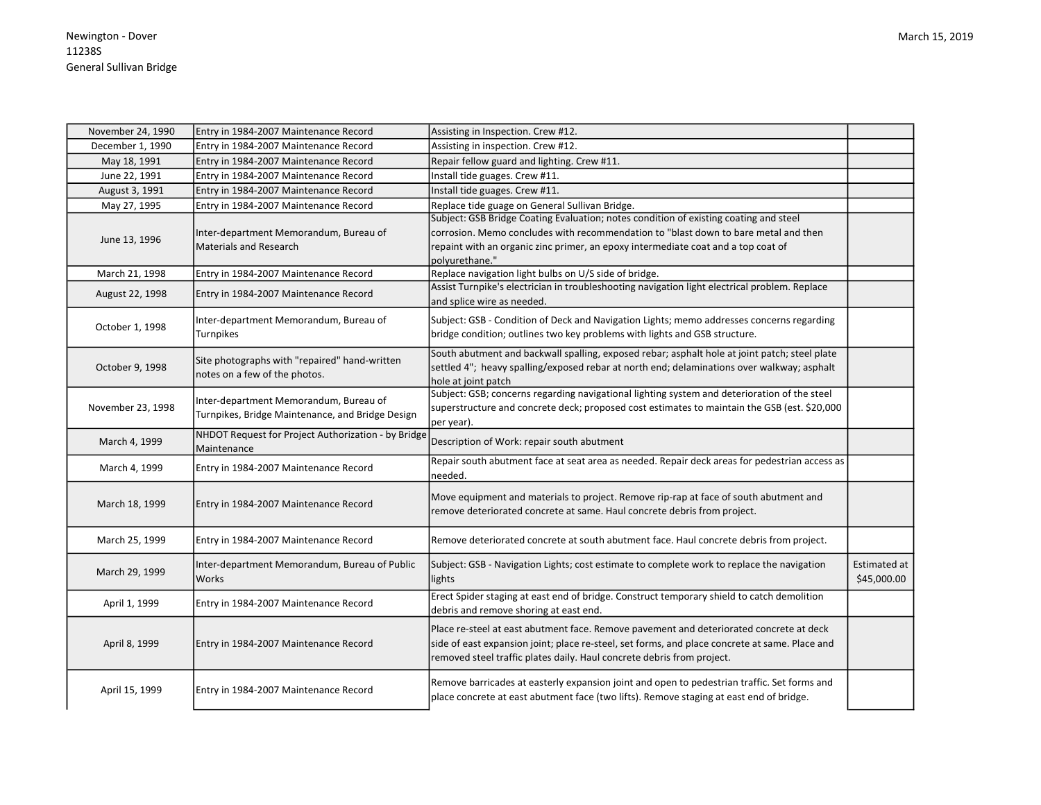| November 24, 1990 | Entry in 1984-2007 Maintenance Record                                                      | Assisting in Inspection. Crew #12.                                                                                                                                                                                                                                                  |                             |
|-------------------|--------------------------------------------------------------------------------------------|-------------------------------------------------------------------------------------------------------------------------------------------------------------------------------------------------------------------------------------------------------------------------------------|-----------------------------|
| December 1, 1990  | Entry in 1984-2007 Maintenance Record                                                      | Assisting in inspection. Crew #12.                                                                                                                                                                                                                                                  |                             |
| May 18, 1991      | Entry in 1984-2007 Maintenance Record                                                      | Repair fellow guard and lighting. Crew #11.                                                                                                                                                                                                                                         |                             |
| June 22, 1991     | Entry in 1984-2007 Maintenance Record                                                      | Install tide guages. Crew #11.                                                                                                                                                                                                                                                      |                             |
| August 3, 1991    | Entry in 1984-2007 Maintenance Record                                                      | Install tide guages. Crew #11.                                                                                                                                                                                                                                                      |                             |
| May 27, 1995      | Entry in 1984-2007 Maintenance Record                                                      | Replace tide guage on General Sullivan Bridge.                                                                                                                                                                                                                                      |                             |
| June 13, 1996     | Inter-department Memorandum, Bureau of<br><b>Materials and Research</b>                    | Subject: GSB Bridge Coating Evaluation; notes condition of existing coating and steel<br>corrosion. Memo concludes with recommendation to "blast down to bare metal and then<br>repaint with an organic zinc primer, an epoxy intermediate coat and a top coat of<br>polyurethane." |                             |
| March 21, 1998    | Entry in 1984-2007 Maintenance Record                                                      | Replace navigation light bulbs on U/S side of bridge.                                                                                                                                                                                                                               |                             |
| August 22, 1998   | Entry in 1984-2007 Maintenance Record                                                      | Assist Turnpike's electrician in troubleshooting navigation light electrical problem. Replace<br>and splice wire as needed.                                                                                                                                                         |                             |
| October 1, 1998   | Inter-department Memorandum, Bureau of<br>Turnpikes                                        | Subject: GSB - Condition of Deck and Navigation Lights; memo addresses concerns regarding<br>bridge condition; outlines two key problems with lights and GSB structure.                                                                                                             |                             |
| October 9, 1998   | Site photographs with "repaired" hand-written<br>notes on a few of the photos.             | South abutment and backwall spalling, exposed rebar; asphalt hole at joint patch; steel plate<br>settled 4"; heavy spalling/exposed rebar at north end; delaminations over walkway; asphalt<br>hole at joint patch                                                                  |                             |
| November 23, 1998 | Inter-department Memorandum, Bureau of<br>Turnpikes, Bridge Maintenance, and Bridge Design | Subject: GSB; concerns regarding navigational lighting system and deterioration of the steel<br>superstructure and concrete deck; proposed cost estimates to maintain the GSB (est. \$20,000<br>per year).                                                                          |                             |
| March 4, 1999     | NHDOT Request for Project Authorization - by Bridge<br>Maintenance                         | Description of Work: repair south abutment                                                                                                                                                                                                                                          |                             |
| March 4, 1999     | Entry in 1984-2007 Maintenance Record                                                      | Repair south abutment face at seat area as needed. Repair deck areas for pedestrian access as<br>needed.                                                                                                                                                                            |                             |
| March 18, 1999    | Entry in 1984-2007 Maintenance Record                                                      | Move equipment and materials to project. Remove rip-rap at face of south abutment and<br>remove deteriorated concrete at same. Haul concrete debris from project.                                                                                                                   |                             |
| March 25, 1999    | Entry in 1984-2007 Maintenance Record                                                      | Remove deteriorated concrete at south abutment face. Haul concrete debris from project.                                                                                                                                                                                             |                             |
| March 29, 1999    | Inter-department Memorandum, Bureau of Public<br>Works                                     | Subject: GSB - Navigation Lights; cost estimate to complete work to replace the navigation<br>lights                                                                                                                                                                                | Estimated at<br>\$45,000.00 |
| April 1, 1999     | Entry in 1984-2007 Maintenance Record                                                      | Erect Spider staging at east end of bridge. Construct temporary shield to catch demolition<br>debris and remove shoring at east end.                                                                                                                                                |                             |
| April 8, 1999     | Entry in 1984-2007 Maintenance Record                                                      | Place re-steel at east abutment face. Remove pavement and deteriorated concrete at deck<br>side of east expansion joint; place re-steel, set forms, and place concrete at same. Place and<br>removed steel traffic plates daily. Haul concrete debris from project.                 |                             |
| April 15, 1999    | Entry in 1984-2007 Maintenance Record                                                      | Remove barricades at easterly expansion joint and open to pedestrian traffic. Set forms and<br>place concrete at east abutment face (two lifts). Remove staging at east end of bridge.                                                                                              |                             |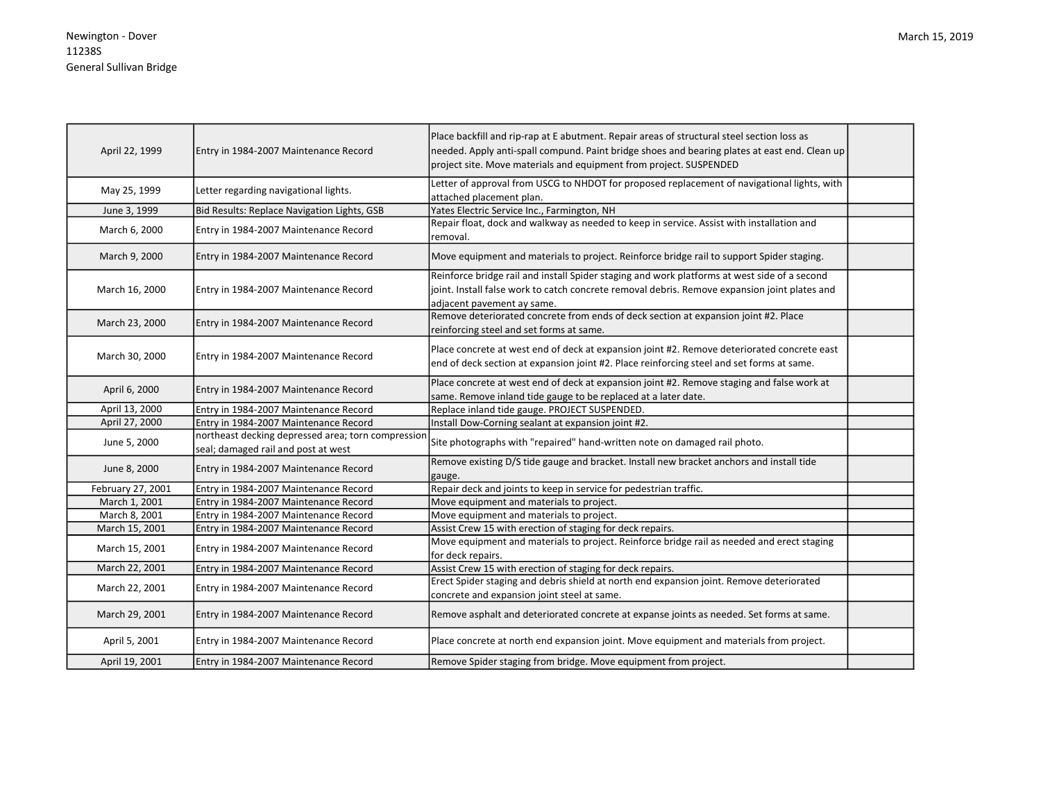| April 22, 1999    | Entry in 1984-2007 Maintenance Record                                                     | Place backfill and rip-rap at E abutment. Repair areas of structural steel section loss as<br>needed. Apply anti-spall compund. Paint bridge shoes and bearing plates at east end. Clean up<br>project site. Move materials and equipment from project. SUSPENDED |  |
|-------------------|-------------------------------------------------------------------------------------------|-------------------------------------------------------------------------------------------------------------------------------------------------------------------------------------------------------------------------------------------------------------------|--|
| May 25, 1999      | Letter regarding navigational lights.                                                     | Letter of approval from USCG to NHDOT for proposed replacement of navigational lights, with<br>attached placement plan.                                                                                                                                           |  |
| June 3, 1999      | Bid Results: Replace Navigation Lights, GSB                                               | Yates Electric Service Inc., Farmington, NH                                                                                                                                                                                                                       |  |
| March 6, 2000     | Entry in 1984-2007 Maintenance Record                                                     | Repair float, dock and walkway as needed to keep in service. Assist with installation and<br>removal.                                                                                                                                                             |  |
| March 9, 2000     | Entry in 1984-2007 Maintenance Record                                                     | Move equipment and materials to project. Reinforce bridge rail to support Spider staging.                                                                                                                                                                         |  |
| March 16, 2000    | Entry in 1984-2007 Maintenance Record                                                     | Reinforce bridge rail and install Spider staging and work platforms at west side of a second<br>joint. Install false work to catch concrete removal debris. Remove expansion joint plates and<br>adjacent pavement ay same.                                       |  |
| March 23, 2000    | Entry in 1984-2007 Maintenance Record                                                     | Remove deteriorated concrete from ends of deck section at expansion joint #2. Place<br>reinforcing steel and set forms at same.                                                                                                                                   |  |
| March 30, 2000    | Entry in 1984-2007 Maintenance Record                                                     | Place concrete at west end of deck at expansion joint #2. Remove deteriorated concrete east<br>end of deck section at expansion joint #2. Place reinforcing steel and set forms at same.                                                                          |  |
| April 6, 2000     | Entry in 1984-2007 Maintenance Record                                                     | Place concrete at west end of deck at expansion joint #2. Remove staging and false work at<br>same. Remove inland tide gauge to be replaced at a later date.                                                                                                      |  |
| April 13, 2000    | Entry in 1984-2007 Maintenance Record                                                     | Replace inland tide gauge. PROJECT SUSPENDED.                                                                                                                                                                                                                     |  |
| April 27, 2000    | Entry in 1984-2007 Maintenance Record                                                     | Install Dow-Corning sealant at expansion joint #2.                                                                                                                                                                                                                |  |
| June 5, 2000      | northeast decking depressed area; torn compression<br>seal; damaged rail and post at west | Site photographs with "repaired" hand-written note on damaged rail photo.                                                                                                                                                                                         |  |
| June 8, 2000      | Entry in 1984-2007 Maintenance Record                                                     | Remove existing D/S tide gauge and bracket. Install new bracket anchors and install tide<br>gauge.                                                                                                                                                                |  |
| February 27, 2001 | Entry in 1984-2007 Maintenance Record                                                     | Repair deck and joints to keep in service for pedestrian traffic.                                                                                                                                                                                                 |  |
| March 1, 2001     | Entry in 1984-2007 Maintenance Record                                                     | Move equipment and materials to project.                                                                                                                                                                                                                          |  |
| March 8, 2001     | Entry in 1984-2007 Maintenance Record                                                     | Move equipment and materials to project.                                                                                                                                                                                                                          |  |
| March 15, 2001    | Entry in 1984-2007 Maintenance Record                                                     | Assist Crew 15 with erection of staging for deck repairs.                                                                                                                                                                                                         |  |
| March 15, 2001    | Entry in 1984-2007 Maintenance Record                                                     | Move equipment and materials to project. Reinforce bridge rail as needed and erect staging<br>for deck repairs.                                                                                                                                                   |  |
| March 22, 2001    | Entry in 1984-2007 Maintenance Record                                                     | Assist Crew 15 with erection of staging for deck repairs.                                                                                                                                                                                                         |  |
| March 22, 2001    | Entry in 1984-2007 Maintenance Record                                                     | Erect Spider staging and debris shield at north end expansion joint. Remove deteriorated<br>concrete and expansion joint steel at same.                                                                                                                           |  |
| March 29, 2001    | Entry in 1984-2007 Maintenance Record                                                     | Remove asphalt and deteriorated concrete at expanse joints as needed. Set forms at same.                                                                                                                                                                          |  |
| April 5, 2001     | Entry in 1984-2007 Maintenance Record                                                     | Place concrete at north end expansion joint. Move equipment and materials from project.                                                                                                                                                                           |  |
| April 19, 2001    | Entry in 1984-2007 Maintenance Record                                                     | Remove Spider staging from bridge. Move equipment from project.                                                                                                                                                                                                   |  |